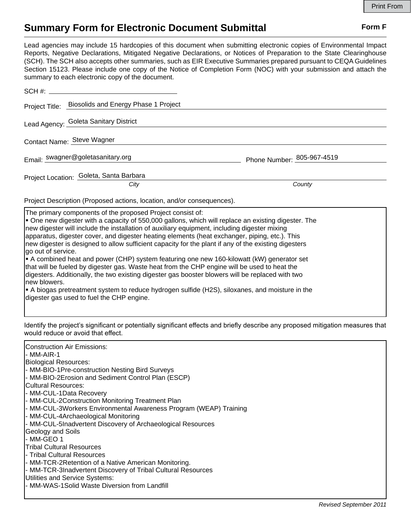## **Summary Form for Electronic Document Submittal Form F Form F**

Lead agencies may include 15 hardcopies of this document when submitting electronic copies of Environmental Impact Reports, Negative Declarations, Mitigated Negative Declarations, or Notices of Preparation to the State Clearinghouse (SCH). The SCH also accepts other summaries, such as EIR Executive Summaries prepared pursuant to CEQA Guidelines Section 15123. Please include one copy of the Notice of Completion Form (NOC) with your submission and attach the summary to each electronic copy of the document.

|                                         | Project Title: Biosolids and Energy Phase 1 Project |                            |  |
|-----------------------------------------|-----------------------------------------------------|----------------------------|--|
|                                         | Lead Agency: Goleta Sanitary District               |                            |  |
| Contact Name: Steve Wagner              |                                                     |                            |  |
|                                         | Email: swagner@goletasanitary.org                   | Phone Number: 805-967-4519 |  |
| Project Location: Goleta, Santa Barbara |                                                     |                            |  |
|                                         | City                                                | County                     |  |

Project Description (Proposed actions, location, and/or consequences).

The primary components of the proposed Project consist of:

ß One new digester with a capacity of 550,000 gallons, which will replace an existing digester. The new digester will include the installation of auxiliary equipment, including digester mixing apparatus, digester cover, and digester heating elements (heat exchanger, piping, etc.). This new digester is designed to allow sufficient capacity for the plant if any of the existing digesters go out of service. ß A combined heat and power (CHP) system featuring one new 160-kilowatt (kW) generator set that will be fueled by digester gas. Waste heat from the CHP engine will be used to heat the

digesters. Additionally, the two existing digester gas booster blowers will be replaced with two new blowers.

ß A biogas pretreatment system to reduce hydrogen sulfide (H2S), siloxanes, and moisture in the digester gas used to fuel the CHP engine.

Identify the project's significant or potentially significant effects and briefly describe any proposed mitigation measures that would reduce or avoid that effect.

| Construction Air Emissions:                                       |
|-------------------------------------------------------------------|
| - MM-AIR-1                                                        |
| <b>Biological Resources:</b>                                      |
| - MM-BIO-1Pre-construction Nesting Bird Surveys                   |
| - MM-BIO-2Erosion and Sediment Control Plan (ESCP)                |
| <b>Cultural Resources:</b>                                        |
| - MM-CUL-1Data Recovery                                           |
| - MM-CUL-2Construction Monitoring Treatment Plan                  |
| - MM-CUL-3Workers Environmental Awareness Program (WEAP) Training |
| - MM-CUL-4Archaeological Monitoring                               |
| - MM-CUL-5Inadvertent Discovery of Archaeological Resources       |
| Geology and Soils                                                 |
| - MM-GEO 1                                                        |
| <b>Tribal Cultural Resources</b>                                  |
| l- Tribal Cultural Resources                                      |
| - MM-TCR-2Retention of a Native American Monitoring.              |
| - MM-TCR-3Inadvertent Discovery of Tribal Cultural Resources      |
| Utilities and Service Systems:                                    |
| - MM-WAS-1Solid Waste Diversion from Landfill                     |
|                                                                   |